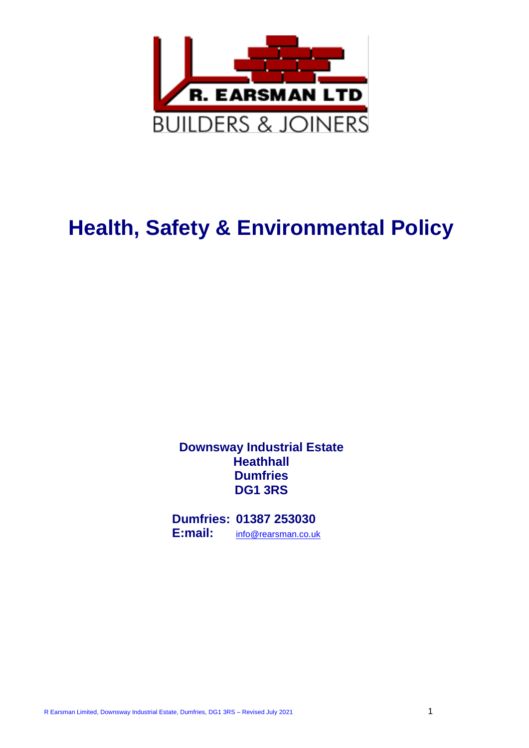

# **Health, Safety & Environmental Policy**

**Downsway Industrial Estate Heathhall Dumfries DG1 3RS**

**Dumfries: 01387 253030 E:mail:** [info@rearsman.co.uk](mailto:info@rearsman.co.uk)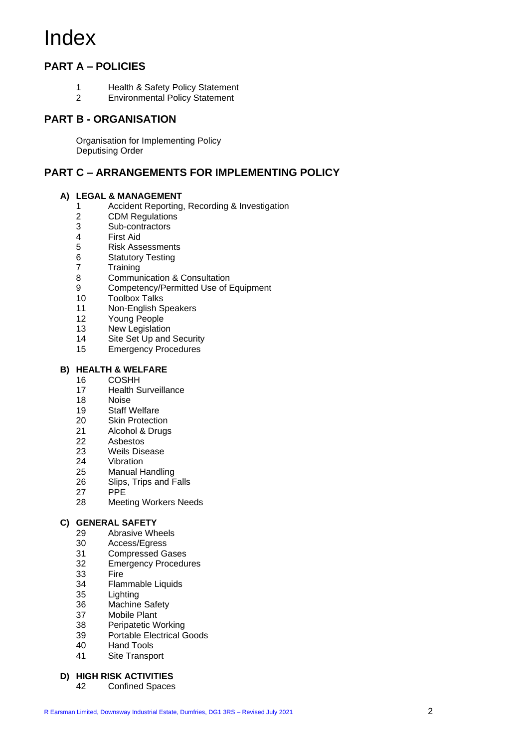# Index

# **PART A – POLICIES**

- Health & Safety Policy Statement
- Environmental Policy Statement

### **PART B - ORGANISATION**

Organisation for Implementing Policy Deputising Order

### **PART C – ARRANGEMENTS FOR IMPLEMENTING POLICY**

#### **A) LEGAL & MANAGEMENT**

- Accident Reporting, Recording & Investigation
- CDM Regulations
- Sub-contractors
- First Aid
- Risk Assessments
- Statutory Testing
- Training
- Communication & Consultation
- 9 Competency/Permitted Use of Equipment<br>10 Toolbox Talks
- **Toolbox Talks**
- Non-English Speakers
- Young People
- New Legislation
- Site Set Up and Security
- Emergency Procedures

#### **B) HEALTH & WELFARE**

- COSHH
- Health Surveillance
- Noise
- Staff Welfare
- Skin Protection
- Alcohol & Drugs
- Asbestos
- Weils Disease
- Vibration
- Manual Handling
- Slips, Trips and Falls
- 27 PPE<br>28 Meet
- **Meeting Workers Needs**

#### **C) GENERAL SAFETY**

- Abrasive Wheels
- Access/Egress
- Compressed Gases
- Emergency Procedures
- Fire
- Flammable Liquids
- Lighting
- Machine Safety
- Mobile Plant
- Peripatetic Working
- Portable Electrical Goods
- Hand Tools
- Site Transport

#### **D) HIGH RISK ACTIVITIES**

Confined Spaces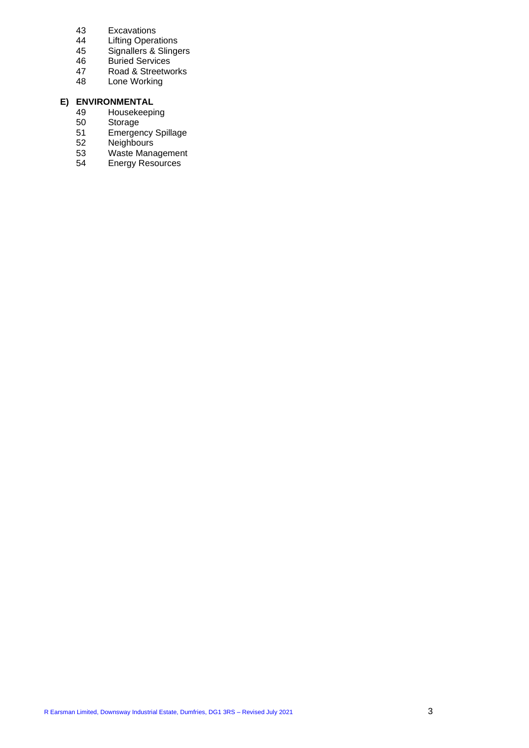- 43 Excavations
- 44 Lifting Operations
- 45 Signallers & Slingers
- 46 Buried Services
- 47 Road & Streetworks<br>48 Lone Working
- Lone Working

# **E) ENVIRONMENTAL**

- 49 Housekeeping<br>50 Storage
- 50 Storage<br>51 Emerger
- 51 Emergency Spillage<br>52 Neighbours
- 52 Neighbours<br>53 Waste Mana
- 53 Waste Management<br>54 Energy Resources
- Energy Resources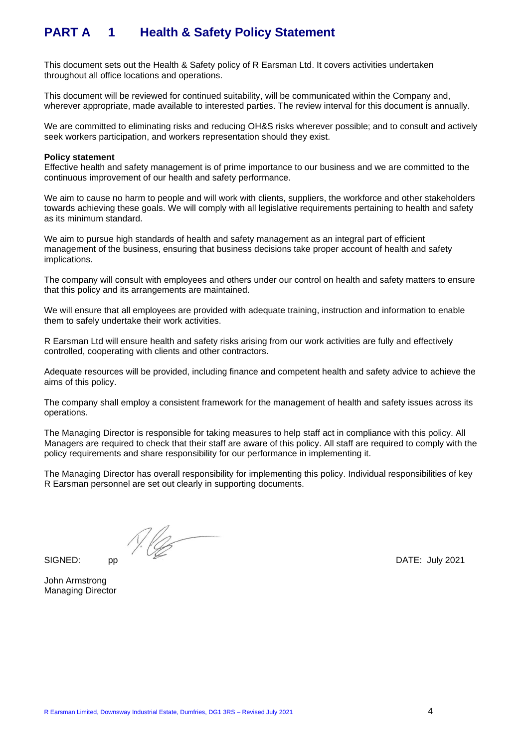# **PART A 1 Health & Safety Policy Statement**

This document sets out the Health & Safety policy of R Earsman Ltd. It covers activities undertaken throughout all office locations and operations.

This document will be reviewed for continued suitability, will be communicated within the Company and, wherever appropriate, made available to interested parties. The review interval for this document is annually.

We are committed to eliminating risks and reducing OH&S risks wherever possible; and to consult and actively seek workers participation, and workers representation should they exist.

#### **Policy statement**

Effective health and safety management is of prime importance to our business and we are committed to the continuous improvement of our health and safety performance.

We aim to cause no harm to people and will work with clients, suppliers, the workforce and other stakeholders towards achieving these goals. We will comply with all legislative requirements pertaining to health and safety as its minimum standard.

We aim to pursue high standards of health and safety management as an integral part of efficient management of the business, ensuring that business decisions take proper account of health and safety implications.

The company will consult with employees and others under our control on health and safety matters to ensure that this policy and its arrangements are maintained.

We will ensure that all employees are provided with adequate training, instruction and information to enable them to safely undertake their work activities.

R Earsman Ltd will ensure health and safety risks arising from our work activities are fully and effectively controlled, cooperating with clients and other contractors.

Adequate resources will be provided, including finance and competent health and safety advice to achieve the aims of this policy.

The company shall employ a consistent framework for the management of health and safety issues across its operations.

The Managing Director is responsible for taking measures to help staff act in compliance with this policy. All Managers are required to check that their staff are aware of this policy. All staff are required to comply with the policy requirements and share responsibility for our performance in implementing it.

The Managing Director has overall responsibility for implementing this policy. Individual responsibilities of key R Earsman personnel are set out clearly in supporting documents.

SIGNED: pp DATE: July 2021

John Armstrong Managing Director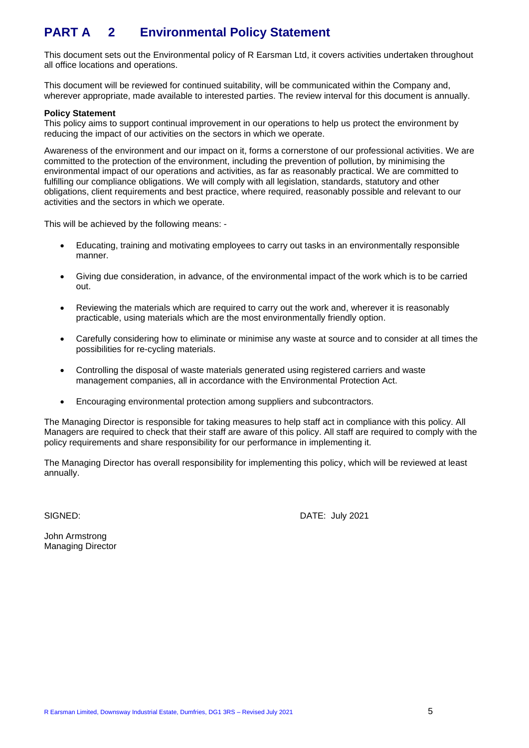# **PART A 2 Environmental Policy Statement**

This document sets out the Environmental policy of R Earsman Ltd, it covers activities undertaken throughout all office locations and operations.

This document will be reviewed for continued suitability, will be communicated within the Company and, wherever appropriate, made available to interested parties. The review interval for this document is annually.

#### **Policy Statement**

This policy aims to support continual improvement in our operations to help us protect the environment by reducing the impact of our activities on the sectors in which we operate.

Awareness of the environment and our impact on it, forms a cornerstone of our professional activities. We are committed to the protection of the environment, including the prevention of pollution, by minimising the environmental impact of our operations and activities, as far as reasonably practical. We are committed to fulfilling our compliance obligations. We will comply with all legislation, standards, statutory and other obligations, client requirements and best practice, where required, reasonably possible and relevant to our activities and the sectors in which we operate.

This will be achieved by the following means: -

- Educating, training and motivating employees to carry out tasks in an environmentally responsible manner.
- Giving due consideration, in advance, of the environmental impact of the work which is to be carried out.
- Reviewing the materials which are required to carry out the work and, wherever it is reasonably practicable, using materials which are the most environmentally friendly option.
- Carefully considering how to eliminate or minimise any waste at source and to consider at all times the possibilities for re-cycling materials.
- Controlling the disposal of waste materials generated using registered carriers and waste management companies, all in accordance with the Environmental Protection Act.
- Encouraging environmental protection among suppliers and subcontractors.

The Managing Director is responsible for taking measures to help staff act in compliance with this policy. All Managers are required to check that their staff are aware of this policy. All staff are required to comply with the policy requirements and share responsibility for our performance in implementing it.

The Managing Director has overall responsibility for implementing this policy, which will be reviewed at least annually.

SIGNED: DATE: July 2021

John Armstrong Managing Director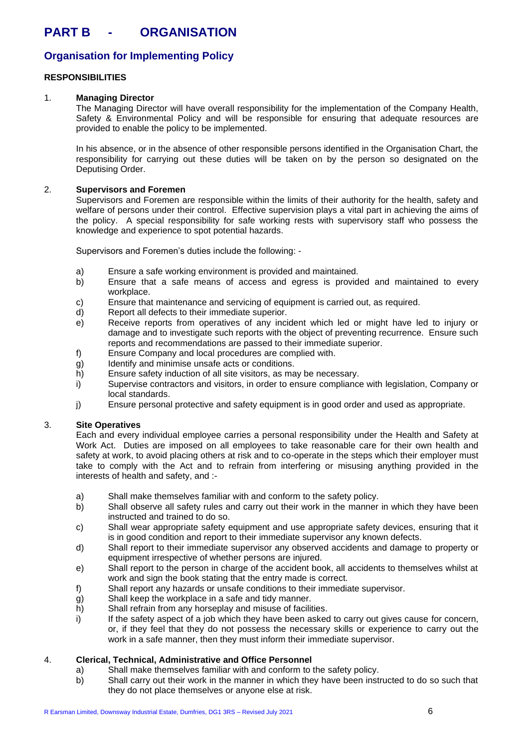## **Organisation for Implementing Policy**

#### **RESPONSIBILITIES**

#### 1. **Managing Director**

The Managing Director will have overall responsibility for the implementation of the Company Health, Safety & Environmental Policy and will be responsible for ensuring that adequate resources are provided to enable the policy to be implemented.

In his absence, or in the absence of other responsible persons identified in the Organisation Chart, the responsibility for carrying out these duties will be taken on by the person so designated on the Deputising Order.

#### 2. **Supervisors and Foremen**

Supervisors and Foremen are responsible within the limits of their authority for the health, safety and welfare of persons under their control. Effective supervision plays a vital part in achieving the aims of the policy. A special responsibility for safe working rests with supervisory staff who possess the knowledge and experience to spot potential hazards.

Supervisors and Foremen's duties include the following: -

- a) Ensure a safe working environment is provided and maintained.
- b) Ensure that a safe means of access and egress is provided and maintained to every workplace.
- c) Ensure that maintenance and servicing of equipment is carried out, as required.
- d) Report all defects to their immediate superior.
- e) Receive reports from operatives of any incident which led or might have led to injury or damage and to investigate such reports with the object of preventing recurrence. Ensure such reports and recommendations are passed to their immediate superior.
- f) Ensure Company and local procedures are complied with.
- g) Identify and minimise unsafe acts or conditions.
- h) Ensure safety induction of all site visitors, as may be necessary.
- i) Supervise contractors and visitors, in order to ensure compliance with legislation, Company or local standards.
- j) Ensure personal protective and safety equipment is in good order and used as appropriate.

#### 3. **Site Operatives**

Each and every individual employee carries a personal responsibility under the Health and Safety at Work Act. Duties are imposed on all employees to take reasonable care for their own health and safety at work, to avoid placing others at risk and to co-operate in the steps which their employer must take to comply with the Act and to refrain from interfering or misusing anything provided in the interests of health and safety, and :-

- a) Shall make themselves familiar with and conform to the safety policy.
- b) Shall observe all safety rules and carry out their work in the manner in which they have been instructed and trained to do so.
- c) Shall wear appropriate safety equipment and use appropriate safety devices, ensuring that it is in good condition and report to their immediate supervisor any known defects.
- d) Shall report to their immediate supervisor any observed accidents and damage to property or equipment irrespective of whether persons are injured.
- e) Shall report to the person in charge of the accident book, all accidents to themselves whilst at work and sign the book stating that the entry made is correct.
- f) Shall report any hazards or unsafe conditions to their immediate supervisor.
- g) Shall keep the workplace in a safe and tidy manner.
- h) Shall refrain from any horseplay and misuse of facilities.
- $i)$  If the safety aspect of a job which they have been asked to carry out gives cause for concern, or, if they feel that they do not possess the necessary skills or experience to carry out the work in a safe manner, then they must inform their immediate supervisor.

#### 4. **Clerical, Technical, Administrative and Office Personnel**

- a) Shall make themselves familiar with and conform to the safety policy.
- b) Shall carry out their work in the manner in which they have been instructed to do so such that they do not place themselves or anyone else at risk.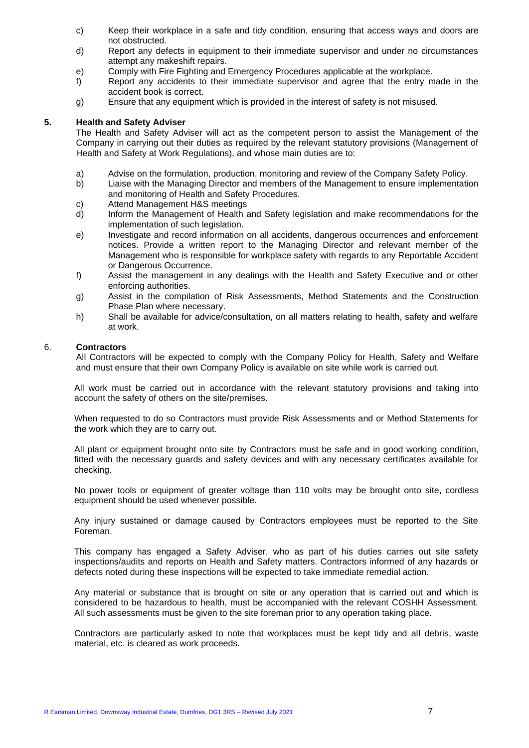- c) Keep their workplace in a safe and tidy condition, ensuring that access ways and doors are not obstructed.
- d) Report any defects in equipment to their immediate supervisor and under no circumstances attempt any makeshift repairs.
- e) Comply with Fire Fighting and Emergency Procedures applicable at the workplace.
- f) Report any accidents to their immediate supervisor and agree that the entry made in the accident book is correct.
- g) Ensure that any equipment which is provided in the interest of safety is not misused.

#### **5. Health and Safety Adviser**

The Health and Safety Adviser will act as the competent person to assist the Management of the Company in carrying out their duties as required by the relevant statutory provisions (Management of Health and Safety at Work Regulations), and whose main duties are to:

- a) Advise on the formulation, production, monitoring and review of the Company Safety Policy.
- b) Liaise with the Managing Director and members of the Management to ensure implementation and monitoring of Health and Safety Procedures.
- c) Attend Management H&S meetings
- d) Inform the Management of Health and Safety legislation and make recommendations for the implementation of such legislation.
- e) Investigate and record information on all accidents, dangerous occurrences and enforcement notices. Provide a written report to the Managing Director and relevant member of the Management who is responsible for workplace safety with regards to any Reportable Accident or Dangerous Occurrence.
- f) Assist the management in any dealings with the Health and Safety Executive and or other enforcing authorities.
- g) Assist in the compilation of Risk Assessments, Method Statements and the Construction Phase Plan where necessary.
- h) Shall be available for advice/consultation, on all matters relating to health, safety and welfare at work.

#### 6. **Contractors**

All Contractors will be expected to comply with the Company Policy for Health, Safety and Welfare and must ensure that their own Company Policy is available on site while work is carried out.

All work must be carried out in accordance with the relevant statutory provisions and taking into account the safety of others on the site/premises.

When requested to do so Contractors must provide Risk Assessments and or Method Statements for the work which they are to carry out.

All plant or equipment brought onto site by Contractors must be safe and in good working condition, fitted with the necessary guards and safety devices and with any necessary certificates available for checking.

No power tools or equipment of greater voltage than 110 volts may be brought onto site, cordless equipment should be used whenever possible.

Any injury sustained or damage caused by Contractors employees must be reported to the Site Foreman.

This company has engaged a Safety Adviser, who as part of his duties carries out site safety inspections/audits and reports on Health and Safety matters. Contractors informed of any hazards or defects noted during these inspections will be expected to take immediate remedial action.

Any material or substance that is brought on site or any operation that is carried out and which is considered to be hazardous to health, must be accompanied with the relevant COSHH Assessment. All such assessments must be given to the site foreman prior to any operation taking place.

Contractors are particularly asked to note that workplaces must be kept tidy and all debris, waste material, etc. is cleared as work proceeds.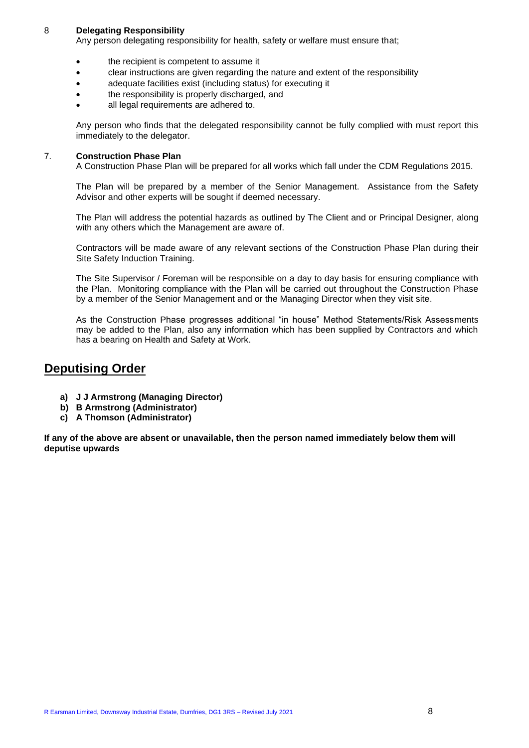#### 8 **Delegating Responsibility**

Any person delegating responsibility for health, safety or welfare must ensure that;

- the recipient is competent to assume it
- clear instructions are given regarding the nature and extent of the responsibility
- adequate facilities exist (including status) for executing it
- the responsibility is properly discharged, and
- all legal requirements are adhered to.

Any person who finds that the delegated responsibility cannot be fully complied with must report this immediately to the delegator.

#### 7. **Construction Phase Plan**

A Construction Phase Plan will be prepared for all works which fall under the CDM Regulations 2015.

The Plan will be prepared by a member of the Senior Management. Assistance from the Safety Advisor and other experts will be sought if deemed necessary.

The Plan will address the potential hazards as outlined by The Client and or Principal Designer, along with any others which the Management are aware of.

Contractors will be made aware of any relevant sections of the Construction Phase Plan during their Site Safety Induction Training.

The Site Supervisor / Foreman will be responsible on a day to day basis for ensuring compliance with the Plan. Monitoring compliance with the Plan will be carried out throughout the Construction Phase by a member of the Senior Management and or the Managing Director when they visit site.

As the Construction Phase progresses additional "in house" Method Statements/Risk Assessments may be added to the Plan, also any information which has been supplied by Contractors and which has a bearing on Health and Safety at Work.

## **Deputising Order**

- **a) J J Armstrong (Managing Director)**
- **b) B Armstrong (Administrator)**
- **c) A Thomson (Administrator)**

**If any of the above are absent or unavailable, then the person named immediately below them will deputise upwards**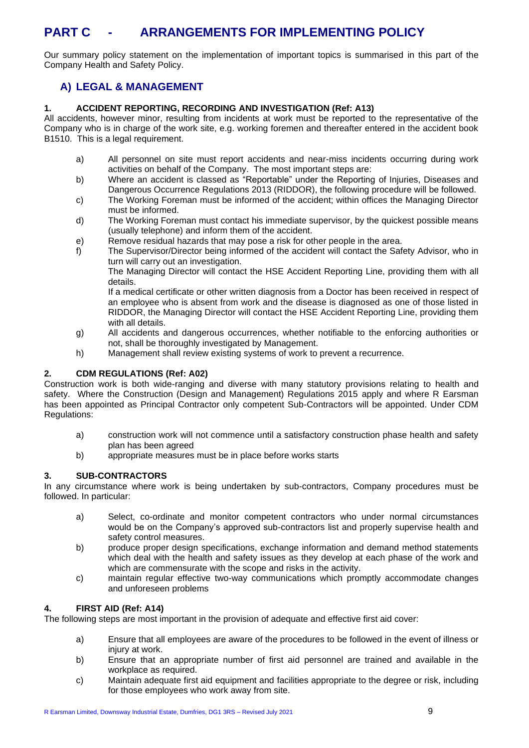# **PART C - ARRANGEMENTS FOR IMPLEMENTING POLICY**

Our summary policy statement on the implementation of important topics is summarised in this part of the Company Health and Safety Policy.

## **A) LEGAL & MANAGEMENT**

#### **1. ACCIDENT REPORTING, RECORDING AND INVESTIGATION (Ref: A13)**

All accidents, however minor, resulting from incidents at work must be reported to the representative of the Company who is in charge of the work site, e.g. working foremen and thereafter entered in the accident book B1510. This is a legal requirement.

- a) All personnel on site must report accidents and near-miss incidents occurring during work activities on behalf of the Company. The most important steps are:
- b) Where an accident is classed as "Reportable" under the Reporting of Injuries, Diseases and Dangerous Occurrence Regulations 2013 (RIDDOR), the following procedure will be followed.
- c) The Working Foreman must be informed of the accident; within offices the Managing Director must be informed.
- d) The Working Foreman must contact his immediate supervisor, by the quickest possible means (usually telephone) and inform them of the accident.
- e) Remove residual hazards that may pose a risk for other people in the area.
- f) The Supervisor/Director being informed of the accident will contact the Safety Advisor, who in turn will carry out an investigation.

The Managing Director will contact the HSE Accident Reporting Line, providing them with all details.

If a medical certificate or other written diagnosis from a Doctor has been received in respect of an employee who is absent from work and the disease is diagnosed as one of those listed in RIDDOR, the Managing Director will contact the HSE Accident Reporting Line, providing them with all details.

- g) All accidents and dangerous occurrences, whether notifiable to the enforcing authorities or not, shall be thoroughly investigated by Management.
- h) Management shall review existing systems of work to prevent a recurrence.

#### **2. CDM REGULATIONS (Ref: A02)**

Construction work is both wide-ranging and diverse with many statutory provisions relating to health and safety. Where the Construction (Design and Management) Regulations 2015 apply and where R Earsman has been appointed as Principal Contractor only competent Sub-Contractors will be appointed. Under CDM Regulations:

- a) construction work will not commence until a satisfactory construction phase health and safety plan has been agreed
- b) appropriate measures must be in place before works starts

#### **3. SUB-CONTRACTORS**

In any circumstance where work is being undertaken by sub-contractors, Company procedures must be followed. In particular:

- a) Select, co-ordinate and monitor competent contractors who under normal circumstances would be on the Company's approved sub-contractors list and properly supervise health and safety control measures.
- b) produce proper design specifications, exchange information and demand method statements which deal with the health and safety issues as they develop at each phase of the work and which are commensurate with the scope and risks in the activity.
- c) maintain regular effective two-way communications which promptly accommodate changes and unforeseen problems

#### **4. FIRST AID (Ref: A14)**

The following steps are most important in the provision of adequate and effective first aid cover:

- a) Ensure that all employees are aware of the procedures to be followed in the event of illness or injury at work.
- b) Ensure that an appropriate number of first aid personnel are trained and available in the workplace as required.
- c) Maintain adequate first aid equipment and facilities appropriate to the degree or risk, including for those employees who work away from site.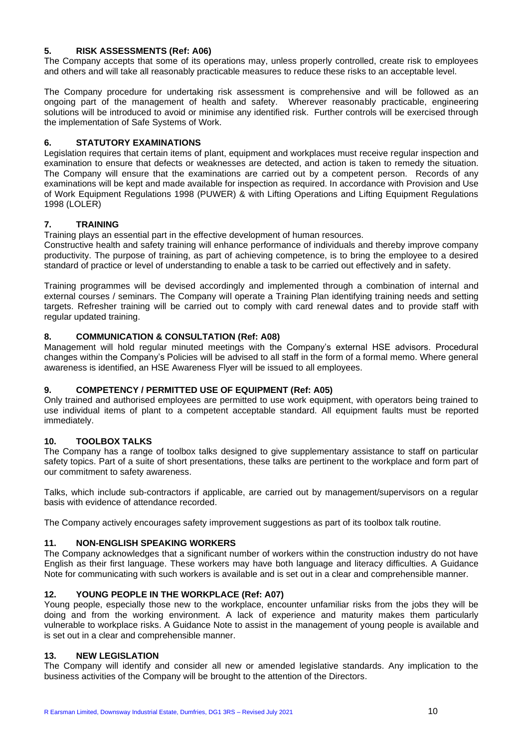#### **5. RISK ASSESSMENTS (Ref: A06)**

The Company accepts that some of its operations may, unless properly controlled, create risk to employees and others and will take all reasonably practicable measures to reduce these risks to an acceptable level.

The Company procedure for undertaking risk assessment is comprehensive and will be followed as an ongoing part of the management of health and safety. Wherever reasonably practicable, engineering solutions will be introduced to avoid or minimise any identified risk. Further controls will be exercised through the implementation of Safe Systems of Work.

#### **6. STATUTORY EXAMINATIONS**

Legislation requires that certain items of plant, equipment and workplaces must receive regular inspection and examination to ensure that defects or weaknesses are detected, and action is taken to remedy the situation. The Company will ensure that the examinations are carried out by a competent person. Records of any examinations will be kept and made available for inspection as required. In accordance with Provision and Use of Work Equipment Regulations 1998 (PUWER) & with Lifting Operations and Lifting Equipment Regulations 1998 (LOLER)

#### **7. TRAINING**

Training plays an essential part in the effective development of human resources.

Constructive health and safety training will enhance performance of individuals and thereby improve company productivity. The purpose of training, as part of achieving competence, is to bring the employee to a desired standard of practice or level of understanding to enable a task to be carried out effectively and in safety.

Training programmes will be devised accordingly and implemented through a combination of internal and external courses / seminars. The Company will operate a Training Plan identifying training needs and setting targets. Refresher training will be carried out to comply with card renewal dates and to provide staff with regular updated training.

#### **8. COMMUNICATION & CONSULTATION (Ref: A08)**

Management will hold regular minuted meetings with the Company's external HSE advisors. Procedural changes within the Company's Policies will be advised to all staff in the form of a formal memo. Where general awareness is identified, an HSE Awareness Flyer will be issued to all employees.

#### **9. COMPETENCY / PERMITTED USE OF EQUIPMENT (Ref: A05)**

Only trained and authorised employees are permitted to use work equipment, with operators being trained to use individual items of plant to a competent acceptable standard. All equipment faults must be reported immediately.

#### **10. TOOLBOX TALKS**

The Company has a range of toolbox talks designed to give supplementary assistance to staff on particular safety topics. Part of a suite of short presentations, these talks are pertinent to the workplace and form part of our commitment to safety awareness.

Talks, which include sub-contractors if applicable, are carried out by management/supervisors on a regular basis with evidence of attendance recorded.

The Company actively encourages safety improvement suggestions as part of its toolbox talk routine.

#### **11. NON-ENGLISH SPEAKING WORKERS**

The Company acknowledges that a significant number of workers within the construction industry do not have English as their first language. These workers may have both language and literacy difficulties. A Guidance Note for communicating with such workers is available and is set out in a clear and comprehensible manner.

#### **12. YOUNG PEOPLE IN THE WORKPLACE (Ref: A07)**

Young people, especially those new to the workplace, encounter unfamiliar risks from the jobs they will be doing and from the working environment. A lack of experience and maturity makes them particularly vulnerable to workplace risks. A Guidance Note to assist in the management of young people is available and is set out in a clear and comprehensible manner.

#### **13. NEW LEGISLATION**

The Company will identify and consider all new or amended legislative standards. Any implication to the business activities of the Company will be brought to the attention of the Directors.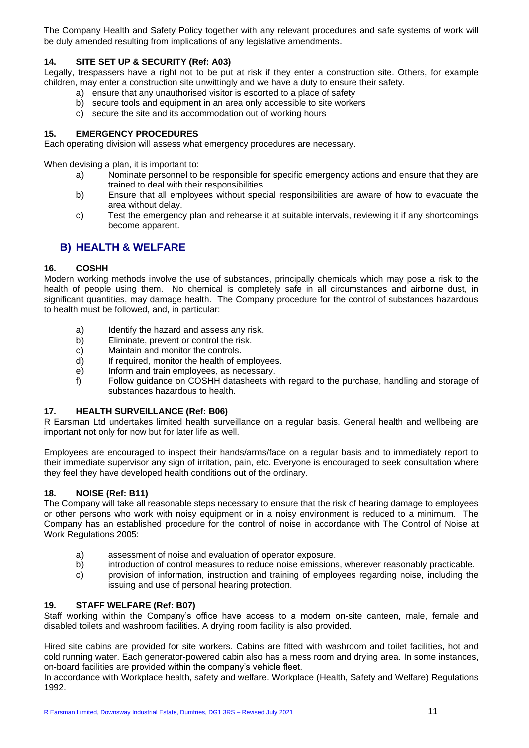The Company Health and Safety Policy together with any relevant procedures and safe systems of work will be duly amended resulting from implications of any legislative amendments.

#### **14. SITE SET UP & SECURITY (Ref: A03)**

Legally, trespassers have a right not to be put at risk if they enter a construction site. Others, for example children, may enter a construction site unwittingly and we have a duty to ensure their safety.

- a) ensure that any unauthorised visitor is escorted to a place of safety
- b) secure tools and equipment in an area only accessible to site workers
- c) secure the site and its accommodation out of working hours

#### **15. EMERGENCY PROCEDURES**

Each operating division will assess what emergency procedures are necessary.

When devising a plan, it is important to:

- a) Nominate personnel to be responsible for specific emergency actions and ensure that they are trained to deal with their responsibilities.
- b) Ensure that all employees without special responsibilities are aware of how to evacuate the area without delay.
- c) Test the emergency plan and rehearse it at suitable intervals, reviewing it if any shortcomings become apparent.

#### **B) HEALTH & WELFARE**

#### **16. COSHH**

Modern working methods involve the use of substances, principally chemicals which may pose a risk to the health of people using them. No chemical is completely safe in all circumstances and airborne dust, in significant quantities, may damage health. The Company procedure for the control of substances hazardous to health must be followed, and, in particular:

- a) Identify the hazard and assess any risk.
- b) Eliminate, prevent or control the risk.
- c) Maintain and monitor the controls.
- d) If required, monitor the health of employees.
- e) Inform and train employees, as necessary.
- f) Follow guidance on COSHH datasheets with regard to the purchase, handling and storage of substances hazardous to health.

#### **17. HEALTH SURVEILLANCE (Ref: B06)**

R Earsman Ltd undertakes limited health surveillance on a regular basis. General health and wellbeing are important not only for now but for later life as well.

Employees are encouraged to inspect their hands/arms/face on a regular basis and to immediately report to their immediate supervisor any sign of irritation, pain, etc. Everyone is encouraged to seek consultation where they feel they have developed health conditions out of the ordinary.

#### **18. NOISE (Ref: B11)**

The Company will take all reasonable steps necessary to ensure that the risk of hearing damage to employees or other persons who work with noisy equipment or in a noisy environment is reduced to a minimum. The Company has an established procedure for the control of noise in accordance with The Control of Noise at Work Regulations 2005:

- a) assessment of noise and evaluation of operator exposure.
- b) introduction of control measures to reduce noise emissions, wherever reasonably practicable.
- c) provision of information, instruction and training of employees regarding noise, including the issuing and use of personal hearing protection.

#### **19. STAFF WELFARE (Ref: B07)**

Staff working within the Company's office have access to a modern on-site canteen, male, female and disabled toilets and washroom facilities. A drying room facility is also provided.

Hired site cabins are provided for site workers. Cabins are fitted with washroom and toilet facilities, hot and cold running water. Each generator-powered cabin also has a mess room and drying area. In some instances, on-board facilities are provided within the company's vehicle fleet.

In accordance with Workplace health, safety and welfare. Workplace (Health, Safety and Welfare) Regulations 1992.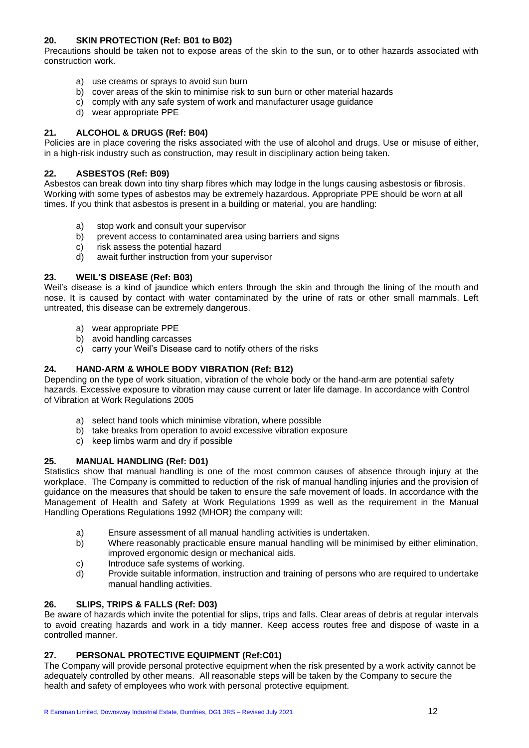#### **20. SKIN PROTECTION (Ref: B01 to B02)**

Precautions should be taken not to expose areas of the skin to the sun, or to other hazards associated with construction work.

- a) use creams or sprays to avoid sun burn
- b) cover areas of the skin to minimise risk to sun burn or other material hazards
- c) comply with any safe system of work and manufacturer usage guidance
- d) wear appropriate PPE

#### **21. ALCOHOL & DRUGS (Ref: B04)**

Policies are in place covering the risks associated with the use of alcohol and drugs. Use or misuse of either, in a high-risk industry such as construction, may result in disciplinary action being taken.

#### **22. ASBESTOS (Ref: B09)**

Asbestos can break down into tiny sharp fibres which may lodge in the lungs causing asbestosis or fibrosis. Working with some types of asbestos may be extremely hazardous. Appropriate PPE should be worn at all times. If you think that asbestos is present in a building or material, you are handling:

- a) stop work and consult your supervisor
- b) prevent access to contaminated area using barriers and signs
- c) risk assess the potential hazard
- d) await further instruction from your supervisor

#### **23. WEIL'S DISEASE (Ref: B03)**

Weil's disease is a kind of jaundice which enters through the skin and through the lining of the mouth and nose. It is caused by contact with water contaminated by the urine of rats or other small mammals. Left untreated, this disease can be extremely dangerous.

- a) wear appropriate PPE
- b) avoid handling carcasses
- c) carry your Weil's Disease card to notify others of the risks

#### **24. HAND-ARM & WHOLE BODY VIBRATION (Ref: B12)**

Depending on the type of work situation, vibration of the whole body or the hand-arm are potential safety hazards. Excessive exposure to vibration may cause current or later life damage. In accordance with Control of Vibration at Work Regulations 2005

- a) select hand tools which minimise vibration, where possible
- b) take breaks from operation to avoid excessive vibration exposure
- c) keep limbs warm and dry if possible

#### **25. MANUAL HANDLING (Ref: D01)**

Statistics show that manual handling is one of the most common causes of absence through injury at the workplace. The Company is committed to reduction of the risk of manual handling injuries and the provision of guidance on the measures that should be taken to ensure the safe movement of loads. In accordance with the Management of Health and Safety at Work Regulations 1999 as well as the requirement in the Manual Handling Operations Regulations 1992 (MHOR) the company will:

- a) Ensure assessment of all manual handling activities is undertaken.
- b) Where reasonably practicable ensure manual handling will be minimised by either elimination, improved ergonomic design or mechanical aids.
- c) Introduce safe systems of working.
- d) Provide suitable information, instruction and training of persons who are required to undertake manual handling activities.

#### **26. SLIPS, TRIPS & FALLS (Ref: D03)**

Be aware of hazards which invite the potential for slips, trips and falls. Clear areas of debris at regular intervals to avoid creating hazards and work in a tidy manner. Keep access routes free and dispose of waste in a controlled manner.

#### **27. PERSONAL PROTECTIVE EQUIPMENT (Ref:C01)**

The Company will provide personal protective equipment when the risk presented by a work activity cannot be adequately controlled by other means. All reasonable steps will be taken by the Company to secure the health and safety of employees who work with personal protective equipment.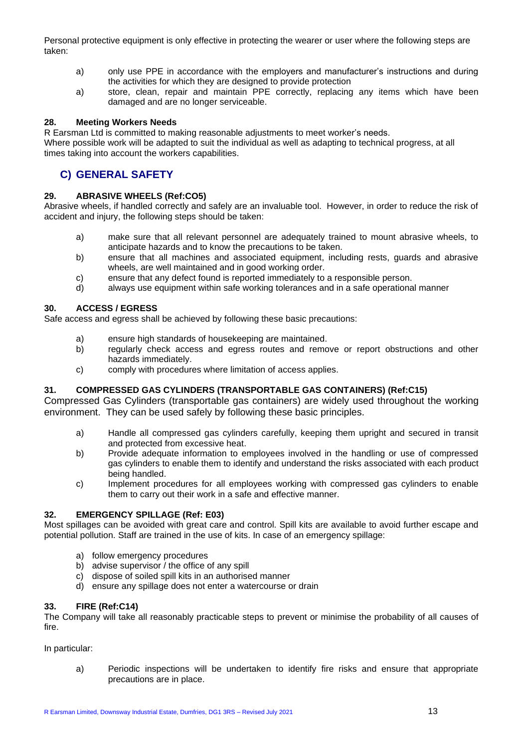Personal protective equipment is only effective in protecting the wearer or user where the following steps are taken:

- a) only use PPE in accordance with the employers and manufacturer's instructions and during the activities for which they are designed to provide protection
- a) store, clean, repair and maintain PPE correctly, replacing any items which have been damaged and are no longer serviceable.

#### **28. Meeting Workers Needs**

R Earsman Ltd is committed to making reasonable adjustments to meet worker's needs. Where possible work will be adapted to suit the individual as well as adapting to technical progress, at all times taking into account the workers capabilities.

## **C) GENERAL SAFETY**

#### **29. ABRASIVE WHEELS (Ref:CO5)**

Abrasive wheels, if handled correctly and safely are an invaluable tool. However, in order to reduce the risk of accident and injury, the following steps should be taken:

- a) make sure that all relevant personnel are adequately trained to mount abrasive wheels, to anticipate hazards and to know the precautions to be taken.
- b) ensure that all machines and associated equipment, including rests, guards and abrasive wheels, are well maintained and in good working order.
- c) ensure that any defect found is reported immediately to a responsible person.
- d) always use equipment within safe working tolerances and in a safe operational manner

#### **30. ACCESS / EGRESS**

Safe access and egress shall be achieved by following these basic precautions:

- a) ensure high standards of housekeeping are maintained.
- b) regularly check access and egress routes and remove or report obstructions and other hazards immediately.
- c) comply with procedures where limitation of access applies.

#### **31. COMPRESSED GAS CYLINDERS (TRANSPORTABLE GAS CONTAINERS) (Ref:C15)**

Compressed Gas Cylinders (transportable gas containers) are widely used throughout the working environment. They can be used safely by following these basic principles.

- a) Handle all compressed gas cylinders carefully, keeping them upright and secured in transit and protected from excessive heat.
- b) Provide adequate information to employees involved in the handling or use of compressed gas cylinders to enable them to identify and understand the risks associated with each product being handled.
- c) Implement procedures for all employees working with compressed gas cylinders to enable them to carry out their work in a safe and effective manner.

#### **32. EMERGENCY SPILLAGE (Ref: E03)**

Most spillages can be avoided with great care and control. Spill kits are available to avoid further escape and potential pollution. Staff are trained in the use of kits. In case of an emergency spillage:

- a) follow emergency procedures
- b) advise supervisor / the office of any spill
- c) dispose of soiled spill kits in an authorised manner
- d) ensure any spillage does not enter a watercourse or drain

#### **33. FIRE (Ref:C14)**

The Company will take all reasonably practicable steps to prevent or minimise the probability of all causes of fire.

In particular:

a) Periodic inspections will be undertaken to identify fire risks and ensure that appropriate precautions are in place.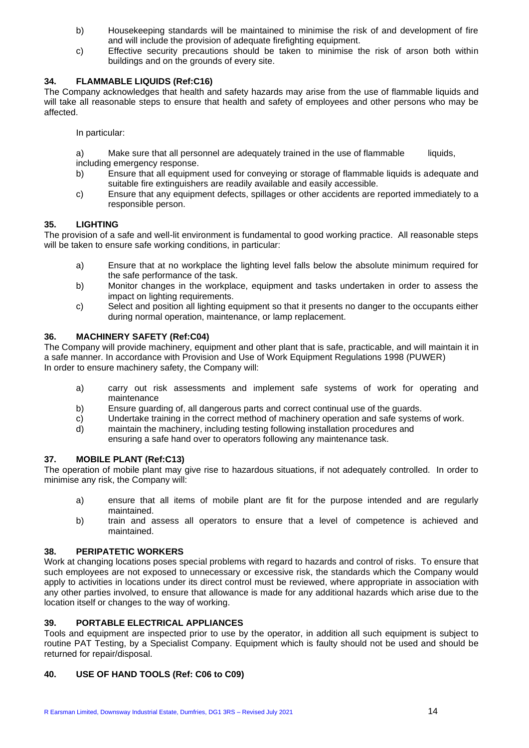- b) Housekeeping standards will be maintained to minimise the risk of and development of fire and will include the provision of adequate firefighting equipment.
- c) Effective security precautions should be taken to minimise the risk of arson both within buildings and on the grounds of every site.

#### **34. FLAMMABLE LIQUIDS (Ref:C16)**

The Company acknowledges that health and safety hazards may arise from the use of flammable liquids and will take all reasonable steps to ensure that health and safety of employees and other persons who may be affected.

In particular:

a) Make sure that all personnel are adequately trained in the use of flammable liquids, including emergency response.

- b) Ensure that all equipment used for conveying or storage of flammable liquids is adequate and suitable fire extinguishers are readily available and easily accessible.
- c) Ensure that any equipment defects, spillages or other accidents are reported immediately to a responsible person.

#### **35. LIGHTING**

The provision of a safe and well-lit environment is fundamental to good working practice. All reasonable steps will be taken to ensure safe working conditions, in particular:

- a) Ensure that at no workplace the lighting level falls below the absolute minimum required for the safe performance of the task.
- b) Monitor changes in the workplace, equipment and tasks undertaken in order to assess the impact on lighting requirements.
- c) Select and position all lighting equipment so that it presents no danger to the occupants either during normal operation, maintenance, or lamp replacement.

#### **36. MACHINERY SAFETY (Ref:C04)**

The Company will provide machinery, equipment and other plant that is safe, practicable, and will maintain it in a safe manner. In accordance with Provision and Use of Work Equipment Regulations 1998 (PUWER) In order to ensure machinery safety, the Company will:

- a) carry out risk assessments and implement safe systems of work for operating and maintenance
- b) Ensure guarding of, all dangerous parts and correct continual use of the guards.
- c) Undertake training in the correct method of machinery operation and safe systems of work.
- d) maintain the machinery, including testing following installation procedures and ensuring a safe hand over to operators following any maintenance task.

#### **37. MOBILE PLANT (Ref:C13)**

The operation of mobile plant may give rise to hazardous situations, if not adequately controlled. In order to minimise any risk, the Company will:

- a) ensure that all items of mobile plant are fit for the purpose intended and are regularly maintained.
- b) train and assess all operators to ensure that a level of competence is achieved and maintained.

#### **38. PERIPATETIC WORKERS**

Work at changing locations poses special problems with regard to hazards and control of risks. To ensure that such employees are not exposed to unnecessary or excessive risk, the standards which the Company would apply to activities in locations under its direct control must be reviewed, where appropriate in association with any other parties involved, to ensure that allowance is made for any additional hazards which arise due to the location itself or changes to the way of working.

#### **39. PORTABLE ELECTRICAL APPLIANCES**

Tools and equipment are inspected prior to use by the operator, in addition all such equipment is subject to routine PAT Testing, by a Specialist Company. Equipment which is faulty should not be used and should be returned for repair/disposal.

#### **40. USE OF HAND TOOLS (Ref: C06 to C09)**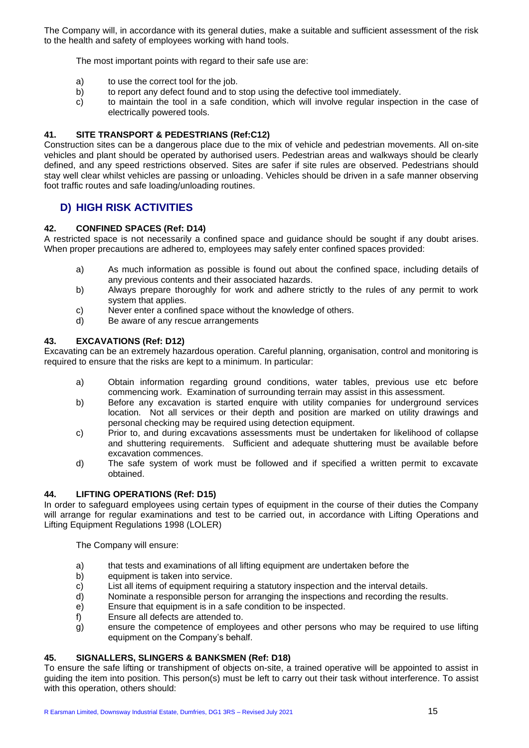The Company will, in accordance with its general duties, make a suitable and sufficient assessment of the risk to the health and safety of employees working with hand tools.

The most important points with regard to their safe use are:

- a) to use the correct tool for the job.
- b) to report any defect found and to stop using the defective tool immediately.
- c) to maintain the tool in a safe condition, which will involve regular inspection in the case of electrically powered tools.

#### **41. SITE TRANSPORT & PEDESTRIANS (Ref:C12)**

Construction sites can be a dangerous place due to the mix of vehicle and pedestrian movements. All on-site vehicles and plant should be operated by authorised users. Pedestrian areas and walkways should be clearly defined, and any speed restrictions observed. Sites are safer if site rules are observed. Pedestrians should stay well clear whilst vehicles are passing or unloading. Vehicles should be driven in a safe manner observing foot traffic routes and safe loading/unloading routines.

### **D) HIGH RISK ACTIVITIES**

#### **42. CONFINED SPACES (Ref: D14)**

A restricted space is not necessarily a confined space and guidance should be sought if any doubt arises. When proper precautions are adhered to, employees may safely enter confined spaces provided:

- a) As much information as possible is found out about the confined space, including details of any previous contents and their associated hazards.
- b) Always prepare thoroughly for work and adhere strictly to the rules of any permit to work system that applies.
- c) Never enter a confined space without the knowledge of others.
- d) Be aware of any rescue arrangements

#### **43. EXCAVATIONS (Ref: D12)**

Excavating can be an extremely hazardous operation. Careful planning, organisation, control and monitoring is required to ensure that the risks are kept to a minimum. In particular:

- a) Obtain information regarding ground conditions, water tables, previous use etc before commencing work. Examination of surrounding terrain may assist in this assessment.
- b) Before any excavation is started enquire with utility companies for underground services location. Not all services or their depth and position are marked on utility drawings and personal checking may be required using detection equipment.
- c) Prior to, and during excavations assessments must be undertaken for likelihood of collapse and shuttering requirements. Sufficient and adequate shuttering must be available before excavation commences.
- d) The safe system of work must be followed and if specified a written permit to excavate obtained.

#### **44. LIFTING OPERATIONS (Ref: D15)**

In order to safeguard employees using certain types of equipment in the course of their duties the Company will arrange for regular examinations and test to be carried out, in accordance with Lifting Operations and Lifting Equipment Regulations 1998 (LOLER)

The Company will ensure:

- a) that tests and examinations of all lifting equipment are undertaken before the
- b) equipment is taken into service.
- c) List all items of equipment requiring a statutory inspection and the interval details.
- d) Nominate a responsible person for arranging the inspections and recording the results.
- e) Ensure that equipment is in a safe condition to be inspected.
- f) Ensure all defects are attended to.
- $\mathbf{g}$ ) ensure the competence of employees and other persons who may be required to use lifting equipment on the Company's behalf.

#### **45. SIGNALLERS, SLINGERS & BANKSMEN (Ref: D18)**

To ensure the safe lifting or transhipment of objects on-site, a trained operative will be appointed to assist in guiding the item into position. This person(s) must be left to carry out their task without interference. To assist with this operation, others should: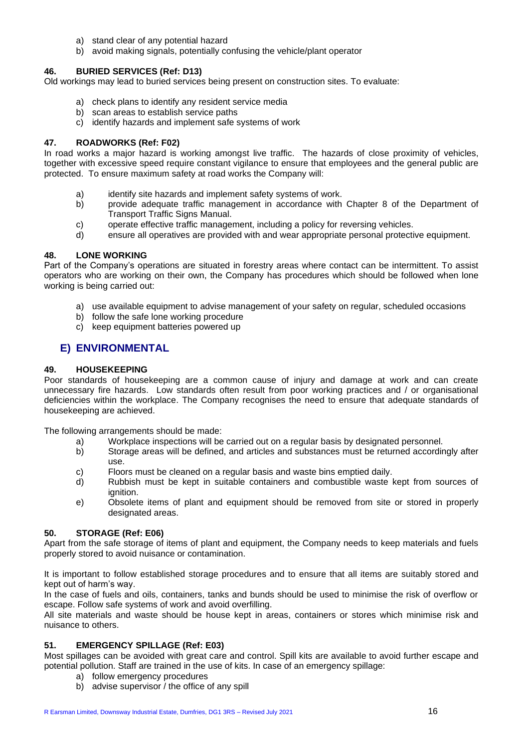- a) stand clear of any potential hazard
- b) avoid making signals, potentially confusing the vehicle/plant operator

#### **46. BURIED SERVICES (Ref: D13)**

Old workings may lead to buried services being present on construction sites. To evaluate:

- a) check plans to identify any resident service media
- b) scan areas to establish service paths
- c) identify hazards and implement safe systems of work

#### **47. ROADWORKS (Ref: F02)**

In road works a major hazard is working amongst live traffic. The hazards of close proximity of vehicles, together with excessive speed require constant vigilance to ensure that employees and the general public are protected. To ensure maximum safety at road works the Company will:

- a) identify site hazards and implement safety systems of work.
- b) provide adequate traffic management in accordance with Chapter 8 of the Department of Transport Traffic Signs Manual.
- c) operate effective traffic management, including a policy for reversing vehicles.
- d) ensure all operatives are provided with and wear appropriate personal protective equipment.

#### **48. LONE WORKING**

Part of the Company's operations are situated in forestry areas where contact can be intermittent. To assist operators who are working on their own, the Company has procedures which should be followed when lone working is being carried out:

- a) use available equipment to advise management of your safety on regular, scheduled occasions
- b) follow the safe lone working procedure
- c) keep equipment batteries powered up

#### **E) ENVIRONMENTAL**

#### **49. HOUSEKEEPING**

Poor standards of housekeeping are a common cause of injury and damage at work and can create unnecessary fire hazards. Low standards often result from poor working practices and / or organisational deficiencies within the workplace. The Company recognises the need to ensure that adequate standards of housekeeping are achieved.

The following arrangements should be made:

- a) Workplace inspections will be carried out on a regular basis by designated personnel.
- b) Storage areas will be defined, and articles and substances must be returned accordingly after use.
- c) Floors must be cleaned on a regular basis and waste bins emptied daily.
- d) Rubbish must be kept in suitable containers and combustible waste kept from sources of ignition.
- e) Obsolete items of plant and equipment should be removed from site or stored in properly designated areas.

#### **50. STORAGE (Ref: E06)**

Apart from the safe storage of items of plant and equipment, the Company needs to keep materials and fuels properly stored to avoid nuisance or contamination.

It is important to follow established storage procedures and to ensure that all items are suitably stored and kept out of harm's way.

In the case of fuels and oils, containers, tanks and bunds should be used to minimise the risk of overflow or escape. Follow safe systems of work and avoid overfilling.

All site materials and waste should be house kept in areas, containers or stores which minimise risk and nuisance to others.

#### **51. EMERGENCY SPILLAGE (Ref: E03)**

Most spillages can be avoided with great care and control. Spill kits are available to avoid further escape and potential pollution. Staff are trained in the use of kits. In case of an emergency spillage:

- a) follow emergency procedures
- b) advise supervisor / the office of any spill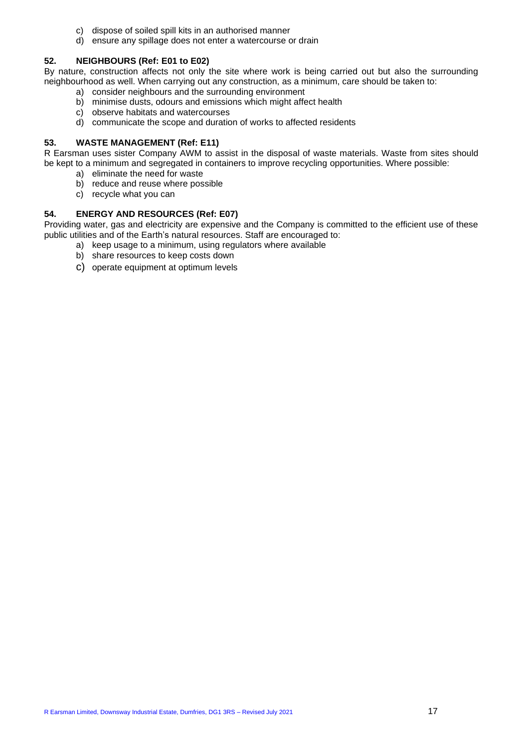- c) dispose of soiled spill kits in an authorised manner
- d) ensure any spillage does not enter a watercourse or drain

#### **52. NEIGHBOURS (Ref: E01 to E02)**

By nature, construction affects not only the site where work is being carried out but also the surrounding neighbourhood as well. When carrying out any construction, as a minimum, care should be taken to:

- a) consider neighbours and the surrounding environment
- b) minimise dusts, odours and emissions which might affect health
- c) observe habitats and watercourses
- d) communicate the scope and duration of works to affected residents

#### **53. WASTE MANAGEMENT (Ref: E11)**

R Earsman uses sister Company AWM to assist in the disposal of waste materials. Waste from sites should be kept to a minimum and segregated in containers to improve recycling opportunities. Where possible:

- a) eliminate the need for waste
- b) reduce and reuse where possible
- c) recycle what you can

#### **54. ENERGY AND RESOURCES (Ref: E07)**

Providing water, gas and electricity are expensive and the Company is committed to the efficient use of these public utilities and of the Earth's natural resources. Staff are encouraged to:

- a) keep usage to a minimum, using regulators where available
- b) share resources to keep costs down
- c) operate equipment at optimum levels